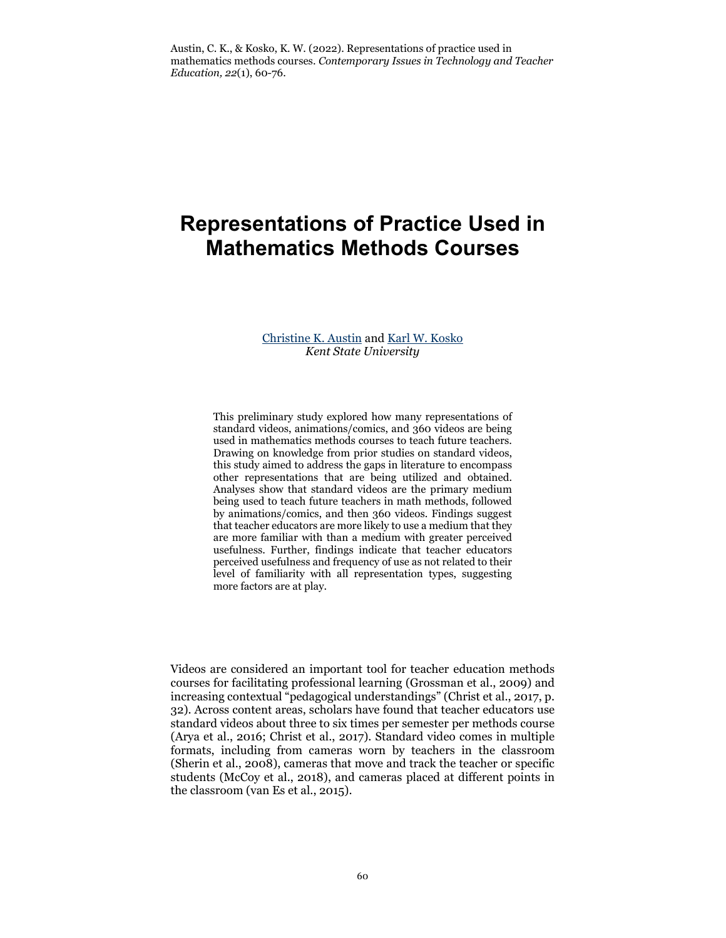# **Representations of Practice Used in Mathematics Methods Courses**

## [Christine K. Austin a](mailto:causti17@kent.edu)nd [Karl W. Kosko](mailto:kkosko1@kent.edu) *Kent State University*

This preliminary study explored how many representations of standard videos, animations/comics, and 360 videos are being used in mathematics methods courses to teach future teachers. Drawing on knowledge from prior studies on standard videos, this study aimed to address the gaps in literature to encompass other representations that are being utilized and obtained. Analyses show that standard videos are the primary medium being used to teach future teachers in math methods, followed by animations/comics, and then 360 videos. Findings suggest that teacher educators are more likely to use a medium that they are more familiar with than a medium with greater perceived usefulness. Further, findings indicate that teacher educators perceived usefulness and frequency of use as not related to their level of familiarity with all representation types, suggesting more factors are at play.

Videos are considered an important tool for teacher education methods courses for facilitating professional learning (Grossman et al., 2009) and increasing contextual "pedagogical understandings" (Christ et al., 2017, p. 32). Across content areas, scholars have found that teacher educators use standard videos about three to six times per semester per methods course (Arya et al., 2016; Christ et al., 2017). Standard video comes in multiple formats, including from cameras worn by teachers in the classroom (Sherin et al., 2008), cameras that move and track the teacher or specific students (McCoy et al., 2018), and cameras placed at different points in the classroom (van Es et al., 2015).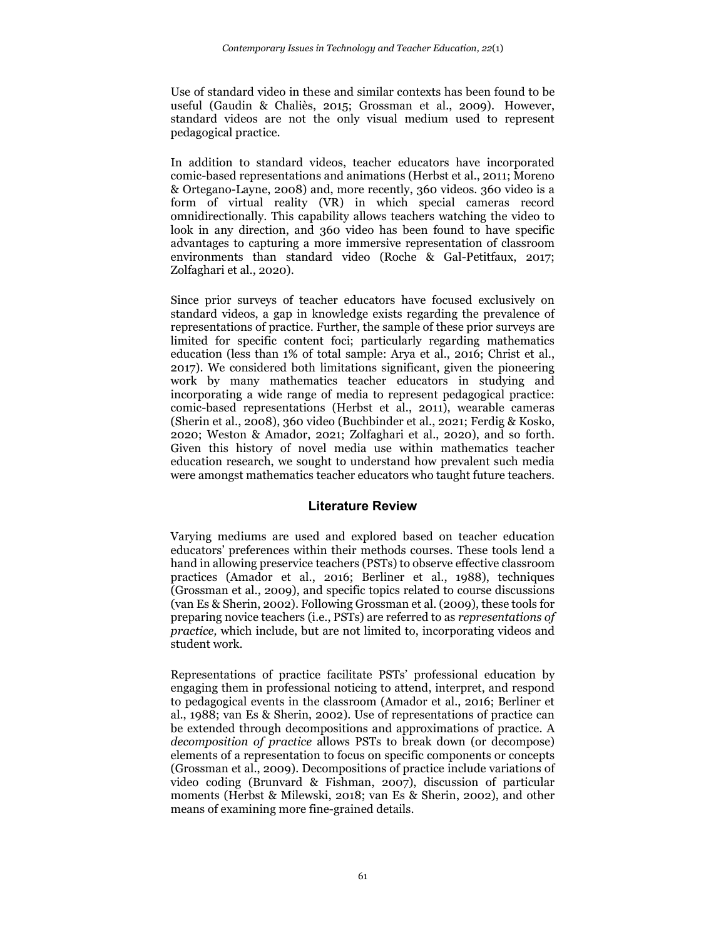Use of standard video in these and similar contexts has been found to be useful (Gaudin & Chaliès, 2015; Grossman et al., 2009). However, standard videos are not the only visual medium used to represent pedagogical practice.

In addition to standard videos, teacher educators have incorporated comic-based representations and animations (Herbst et al., 2011; Moreno & Ortegano-Layne, 2008) and, more recently, 360 videos. 360 video is a form of virtual reality (VR) in which special cameras record omnidirectionally. This capability allows teachers watching the video to look in any direction, and 360 video has been found to have specific advantages to capturing a more immersive representation of classroom environments than standard video (Roche & Gal-Petitfaux, 2017; Zolfaghari et al., 2020).

Since prior surveys of teacher educators have focused exclusively on standard videos, a gap in knowledge exists regarding the prevalence of representations of practice. Further, the sample of these prior surveys are limited for specific content foci; particularly regarding mathematics education (less than 1% of total sample: Arya et al., 2016; Christ et al., 2017). We considered both limitations significant, given the pioneering work by many mathematics teacher educators in studying and incorporating a wide range of media to represent pedagogical practice: comic-based representations (Herbst et al., 2011), wearable cameras (Sherin et al., 2008), 360 video (Buchbinder et al., 2021; Ferdig & Kosko, 2020; Weston & Amador, 2021; Zolfaghari et al., 2020), and so forth. Given this history of novel media use within mathematics teacher education research, we sought to understand how prevalent such media were amongst mathematics teacher educators who taught future teachers.

## **Literature Review**

Varying mediums are used and explored based on teacher education educators' preferences within their methods courses. These tools lend a hand in allowing preservice teachers (PSTs) to observe effective classroom practices (Amador et al., 2016; Berliner et al., 1988), techniques (Grossman et al., 2009), and specific topics related to course discussions (van Es & Sherin, 2002). Following Grossman et al. (2009), these tools for preparing novice teachers (i.e., PSTs) are referred to as *representations of practice,* which include, but are not limited to, incorporating videos and student work.

Representations of practice facilitate PSTs' professional education by engaging them in professional noticing to attend, interpret, and respond to pedagogical events in the classroom (Amador et al., 2016; Berliner et al., 1988; van Es & Sherin, 2002). Use of representations of practice can be extended through decompositions and approximations of practice. A *decomposition of practice* allows PSTs to break down (or decompose) elements of a representation to focus on specific components or concepts (Grossman et al., 2009). Decompositions of practice include variations of video coding (Brunvard & Fishman, 2007), discussion of particular moments (Herbst & Milewski, 2018; van Es & Sherin, 2002), and other means of examining more fine-grained details.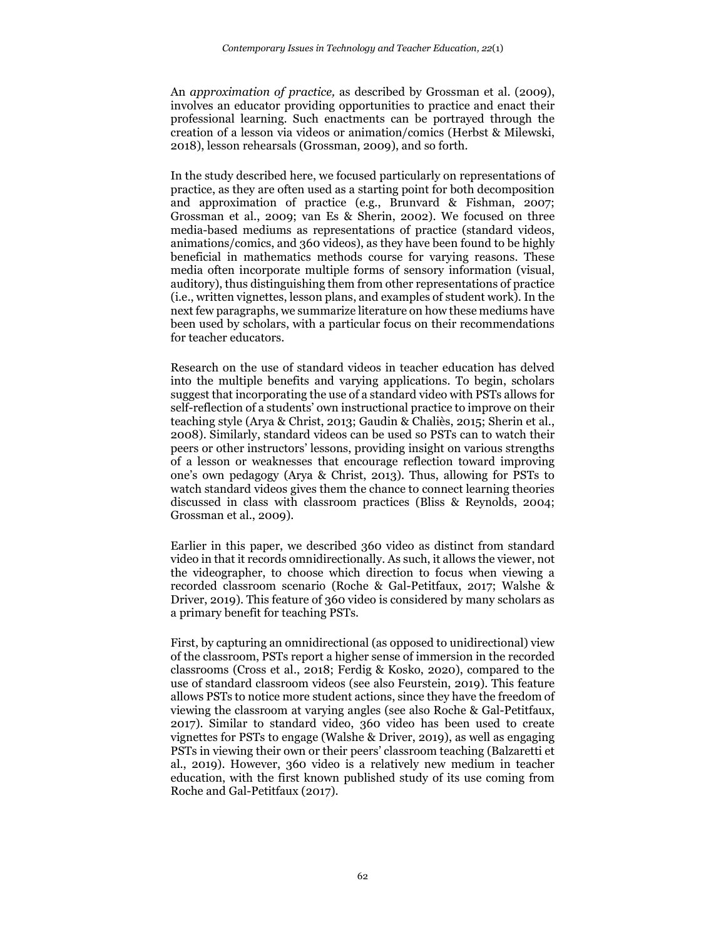An *approximation of practice,* as described by Grossman et al. (2009), involves an educator providing opportunities to practice and enact their professional learning. Such enactments can be portrayed through the creation of a lesson via videos or animation/comics (Herbst & Milewski, 2018), lesson rehearsals (Grossman, 2009), and so forth.

In the study described here, we focused particularly on representations of practice, as they are often used as a starting point for both decomposition and approximation of practice (e.g., Brunvard & Fishman, 2007; Grossman et al., 2009; van Es & Sherin, 2002). We focused on three media-based mediums as representations of practice (standard videos, animations/comics, and 360 videos), as they have been found to be highly beneficial in mathematics methods course for varying reasons. These media often incorporate multiple forms of sensory information (visual, auditory), thus distinguishing them from other representations of practice (i.e., written vignettes, lesson plans, and examples of student work). In the next few paragraphs, we summarize literature on how these mediums have been used by scholars, with a particular focus on their recommendations for teacher educators.

Research on the use of standard videos in teacher education has delved into the multiple benefits and varying applications. To begin, scholars suggest that incorporating the use of a standard video with PSTs allows for self-reflection of a students' own instructional practice to improve on their teaching style (Arya & Christ, 2013; Gaudin & Chaliès, 2015; Sherin et al., 2008). Similarly, standard videos can be used so PSTs can to watch their peers or other instructors' lessons, providing insight on various strengths of a lesson or weaknesses that encourage reflection toward improving one's own pedagogy (Arya & Christ, 2013). Thus, allowing for PSTs to watch standard videos gives them the chance to connect learning theories discussed in class with classroom practices (Bliss & Reynolds, 2004; Grossman et al., 2009).

Earlier in this paper, we described 360 video as distinct from standard video in that it records omnidirectionally. As such, it allows the viewer, not the videographer, to choose which direction to focus when viewing a recorded classroom scenario (Roche & Gal-Petitfaux, 2017; Walshe & Driver, 2019). This feature of 360 video is considered by many scholars as a primary benefit for teaching PSTs.

First, by capturing an omnidirectional (as opposed to unidirectional) view of the classroom, PSTs report a higher sense of immersion in the recorded classrooms (Cross et al., 2018; Ferdig & Kosko, 2020), compared to the use of standard classroom videos (see also Feurstein, 2019). This feature allows PSTs to notice more student actions, since they have the freedom of viewing the classroom at varying angles (see also Roche & Gal-Petitfaux, 2017). Similar to standard video, 360 video has been used to create vignettes for PSTs to engage (Walshe & Driver, 2019), as well as engaging PSTs in viewing their own or their peers' classroom teaching (Balzaretti et al., 2019). However, 360 video is a relatively new medium in teacher education, with the first known published study of its use coming from Roche and Gal-Petitfaux (2017).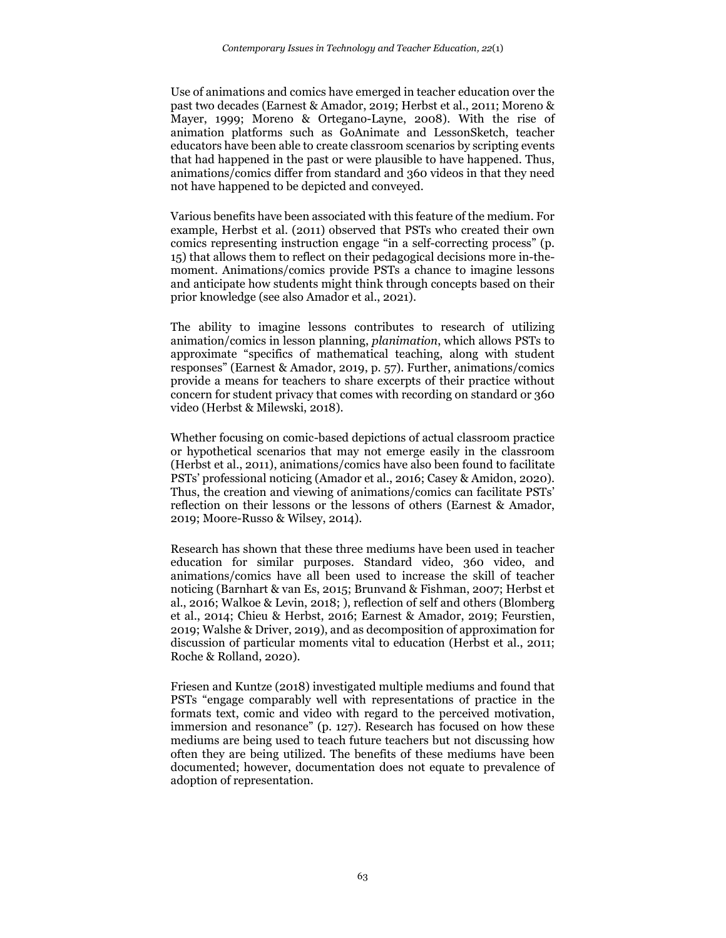Use of animations and comics have emerged in teacher education over the past two decades (Earnest & Amador, 2019; Herbst et al., 2011; Moreno & Mayer, 1999; Moreno & Ortegano-Layne, 2008). With the rise of animation platforms such as GoAnimate and LessonSketch, teacher educators have been able to create classroom scenarios by scripting events that had happened in the past or were plausible to have happened. Thus, animations/comics differ from standard and 360 videos in that they need not have happened to be depicted and conveyed.

Various benefits have been associated with this feature of the medium. For example, Herbst et al. (2011) observed that PSTs who created their own comics representing instruction engage "in a self-correcting process" (p. 15) that allows them to reflect on their pedagogical decisions more in-themoment. Animations/comics provide PSTs a chance to imagine lessons and anticipate how students might think through concepts based on their prior knowledge (see also Amador et al., 2021).

The ability to imagine lessons contributes to research of utilizing animation/comics in lesson planning, *planimation*, which allows PSTs to approximate "specifics of mathematical teaching, along with student responses" (Earnest & Amador, 2019, p. 57). Further, animations/comics provide a means for teachers to share excerpts of their practice without concern for student privacy that comes with recording on standard or 360 video (Herbst & Milewski, 2018).

Whether focusing on comic-based depictions of actual classroom practice or hypothetical scenarios that may not emerge easily in the classroom (Herbst et al., 2011), animations/comics have also been found to facilitate PSTs' professional noticing (Amador et al., 2016; Casey & Amidon, 2020). Thus, the creation and viewing of animations/comics can facilitate PSTs' reflection on their lessons or the lessons of others (Earnest & Amador, 2019; Moore-Russo & Wilsey, 2014).

Research has shown that these three mediums have been used in teacher education for similar purposes. Standard video, 360 video, and animations/comics have all been used to increase the skill of teacher noticing (Barnhart & van Es, 2015; Brunvand & Fishman, 2007; Herbst et al., 2016; Walkoe & Levin, 2018; ), reflection of self and others (Blomberg et al., 2014; Chieu & Herbst, 2016; Earnest & Amador, 2019; Feurstien, 2019; Walshe & Driver, 2019), and as decomposition of approximation for discussion of particular moments vital to education (Herbst et al., 2011; Roche & Rolland, 2020).

Friesen and Kuntze (2018) investigated multiple mediums and found that PSTs "engage comparably well with representations of practice in the formats text, comic and video with regard to the perceived motivation, immersion and resonance" (p. 127). Research has focused on how these mediums are being used to teach future teachers but not discussing how often they are being utilized. The benefits of these mediums have been documented; however, documentation does not equate to prevalence of adoption of representation.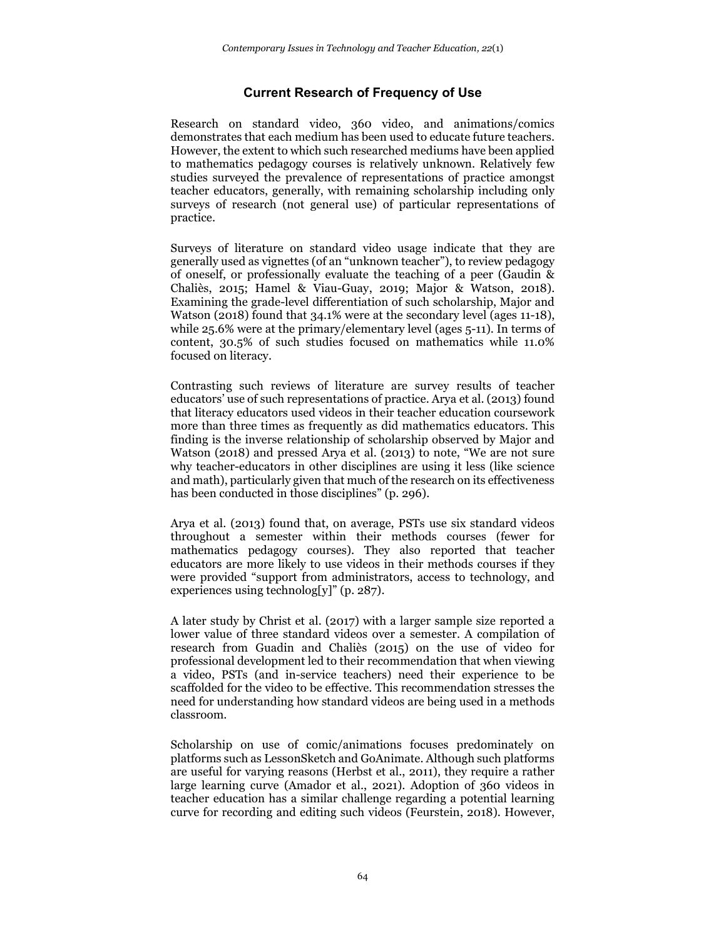## **Current Research of Frequency of Use**

Research on standard video, 360 video, and animations/comics demonstrates that each medium has been used to educate future teachers. However, the extent to which such researched mediums have been applied to mathematics pedagogy courses is relatively unknown. Relatively few studies surveyed the prevalence of representations of practice amongst teacher educators, generally, with remaining scholarship including only surveys of research (not general use) of particular representations of practice.

Surveys of literature on standard video usage indicate that they are generally used as vignettes (of an "unknown teacher"), to review pedagogy of oneself, or professionally evaluate the teaching of a peer (Gaudin & Chaliès, 2015; Hamel & Viau-Guay, 2019; Major & Watson, 2018). Examining the grade-level differentiation of such scholarship, Major and Watson (2018) found that 34.1% were at the secondary level (ages 11-18), while 25.6% were at the primary/elementary level (ages 5-11). In terms of content, 30.5% of such studies focused on mathematics while 11.0% focused on literacy.

Contrasting such reviews of literature are survey results of teacher educators' use of such representations of practice. Arya et al. (2013) found that literacy educators used videos in their teacher education coursework more than three times as frequently as did mathematics educators. This finding is the inverse relationship of scholarship observed by Major and Watson (2018) and pressed Arya et al. (2013) to note, "We are not sure why teacher-educators in other disciplines are using it less (like science and math), particularly given that much of the research on its effectiveness has been conducted in those disciplines" (p. 296).

Arya et al. (2013) found that, on average, PSTs use six standard videos throughout a semester within their methods courses (fewer for mathematics pedagogy courses). They also reported that teacher educators are more likely to use videos in their methods courses if they were provided "support from administrators, access to technology, and experiences using technolog[y]" (p.  $287$ ).

A later study by Christ et al. (2017) with a larger sample size reported a lower value of three standard videos over a semester. A compilation of research from Guadin and Chaliès (2015) on the use of video for professional development led to their recommendation that when viewing a video, PSTs (and in-service teachers) need their experience to be scaffolded for the video to be effective. This recommendation stresses the need for understanding how standard videos are being used in a methods classroom.

Scholarship on use of comic/animations focuses predominately on platforms such as LessonSketch and GoAnimate. Although such platforms are useful for varying reasons (Herbst et al., 2011), they require a rather large learning curve (Amador et al., 2021). Adoption of 360 videos in teacher education has a similar challenge regarding a potential learning curve for recording and editing such videos (Feurstein, 2018). However,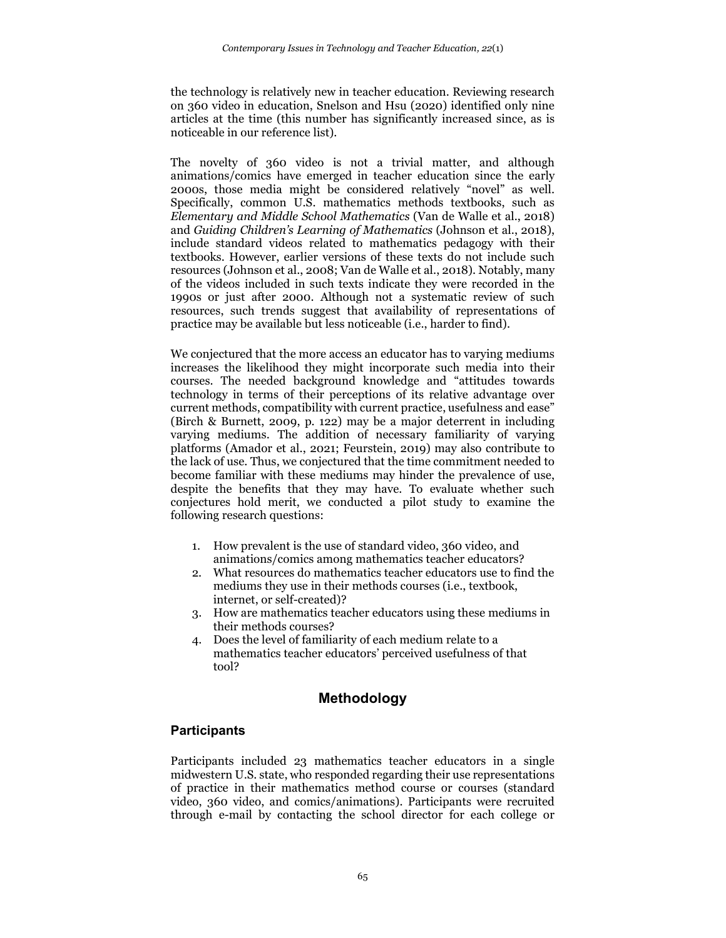the technology is relatively new in teacher education. Reviewing research on 360 video in education, Snelson and Hsu (2020) identified only nine articles at the time (this number has significantly increased since, as is noticeable in our reference list).

The novelty of 360 video is not a trivial matter, and although animations/comics have emerged in teacher education since the early 2000s, those media might be considered relatively "novel" as well. Specifically, common U.S. mathematics methods textbooks, such as *Elementary and Middle School Mathematics* (Van de Walle et al., 2018) and *Guiding Children's Learning of Mathematics* (Johnson et al., 2018), include standard videos related to mathematics pedagogy with their textbooks. However, earlier versions of these texts do not include such resources (Johnson et al., 2008; Van de Walle et al., 2018). Notably, many of the videos included in such texts indicate they were recorded in the 1990s or just after 2000. Although not a systematic review of such resources, such trends suggest that availability of representations of practice may be available but less noticeable (i.e., harder to find).

We conjectured that the more access an educator has to varying mediums increases the likelihood they might incorporate such media into their courses. The needed background knowledge and "attitudes towards technology in terms of their perceptions of its relative advantage over current methods, compatibility with current practice, usefulness and ease" (Birch & Burnett, 2009, p. 122) may be a major deterrent in including varying mediums. The addition of necessary familiarity of varying platforms (Amador et al., 2021; Feurstein, 2019) may also contribute to the lack of use. Thus, we conjectured that the time commitment needed to become familiar with these mediums may hinder the prevalence of use, despite the benefits that they may have. To evaluate whether such conjectures hold merit, we conducted a pilot study to examine the following research questions:

- 1. How prevalent is the use of standard video, 360 video, and animations/comics among mathematics teacher educators?
- 2. What resources do mathematics teacher educators use to find the mediums they use in their methods courses (i.e., textbook, internet, or self-created)?
- 3. How are mathematics teacher educators using these mediums in their methods courses?
- 4. Does the level of familiarity of each medium relate to a mathematics teacher educators' perceived usefulness of that tool?

# **Methodology**

## **Participants**

Participants included 23 mathematics teacher educators in a single midwestern U.S. state, who responded regarding their use representations of practice in their mathematics method course or courses (standard video, 360 video, and comics/animations). Participants were recruited through e-mail by contacting the school director for each college or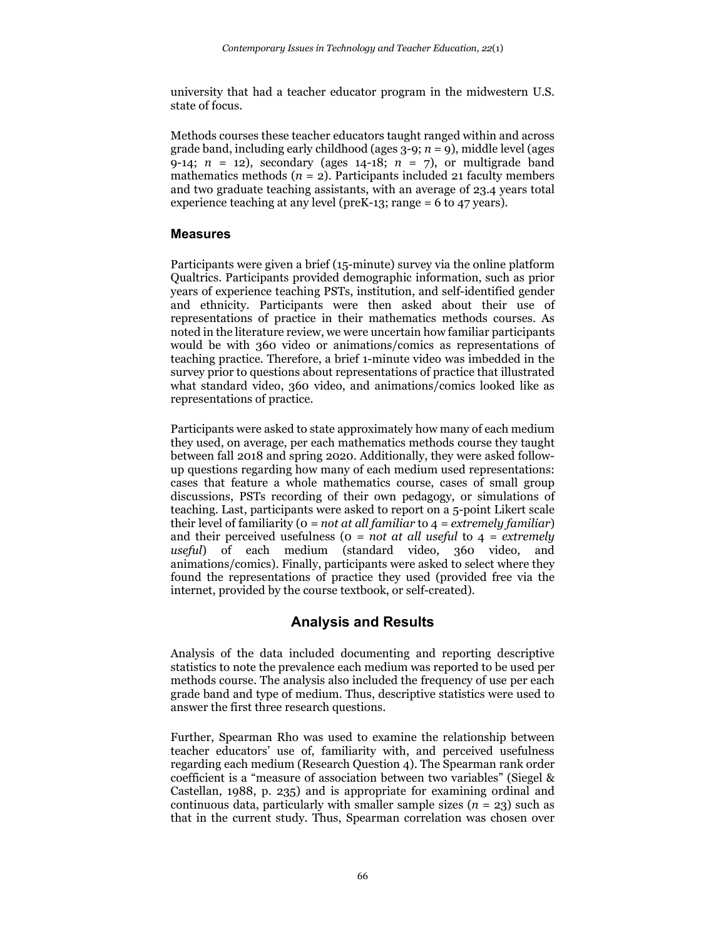university that had a teacher educator program in the midwestern U.S. state of focus.

Methods courses these teacher educators taught ranged within and across grade band, including early childhood (ages  $3-9$ ;  $n = 9$ ), middle level (ages 9-14;  $n = 12$ ), secondary (ages 14-18;  $n = 7$ ), or multigrade band mathematics methods  $(n = 2)$ . Participants included 21 faculty members and two graduate teaching assistants, with an average of 23.4 years total experience teaching at any level (preK-13; range = 6 to 47 years).

## **Measures**

Participants were given a brief (15-minute) survey via the online platform Qualtrics. Participants provided demographic information, such as prior years of experience teaching PSTs, institution, and self-identified gender and ethnicity. Participants were then asked about their use of representations of practice in their mathematics methods courses. As noted in the literature review, we were uncertain how familiar participants would be with 360 video or animations/comics as representations of teaching practice. Therefore, a brief 1-minute video was imbedded in the survey prior to questions about representations of practice that illustrated what standard video, 360 video, and animations/comics looked like as representations of practice.

Participants were asked to state approximately how many of each medium they used, on average, per each mathematics methods course they taught between fall 2018 and spring 2020. Additionally, they were asked followup questions regarding how many of each medium used representations: cases that feature a whole mathematics course, cases of small group discussions, PSTs recording of their own pedagogy, or simulations of teaching. Last, participants were asked to report on a 5-point Likert scale their level of familiarity (0 *= not at all familiar* to 4 *= extremely familiar*) and their perceived usefulness (0 *= not at all useful* to 4 *= extremely useful*) of each medium (standard video, 360 video, and animations/comics). Finally, participants were asked to select where they found the representations of practice they used (provided free via the internet, provided by the course textbook, or self-created).

# **Analysis and Results**

Analysis of the data included documenting and reporting descriptive statistics to note the prevalence each medium was reported to be used per methods course. The analysis also included the frequency of use per each grade band and type of medium. Thus, descriptive statistics were used to answer the first three research questions.

Further, Spearman Rho was used to examine the relationship between teacher educators' use of, familiarity with, and perceived usefulness regarding each medium (Research Question 4). The Spearman rank order coefficient is a "measure of association between two variables" (Siegel & Castellan, 1988, p. 235) and is appropriate for examining ordinal and continuous data, particularly with smaller sample sizes  $(n = 23)$  such as that in the current study. Thus, Spearman correlation was chosen over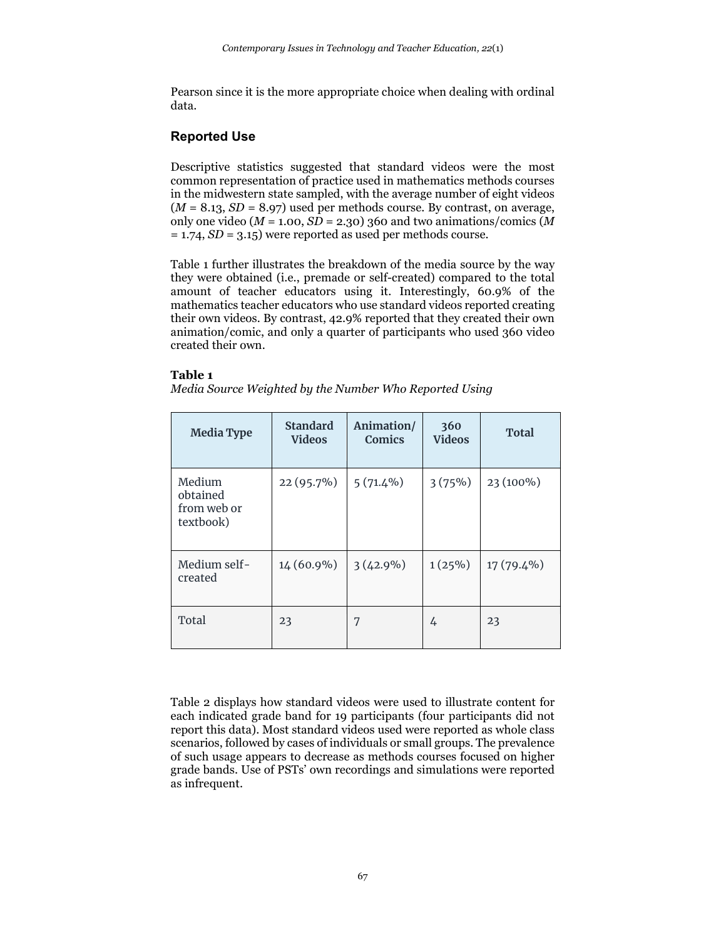Pearson since it is the more appropriate choice when dealing with ordinal data.

## **Reported Use**

Descriptive statistics suggested that standard videos were the most common representation of practice used in mathematics methods courses in the midwestern state sampled, with the average number of eight videos  $(M = 8.13, SD = 8.97)$  used per methods course. By contrast, on average, only one video ( $M = 1.00$ ,  $S\overline{D} = 2.30$ ) 360 and two animations/comics ( $\overline{M}$ ) = 1.74, *SD* = 3.15) were reported as used per methods course.

Table 1 further illustrates the breakdown of the media source by the way they were obtained (i.e., premade or self-created) compared to the total amount of teacher educators using it. Interestingly, 60.9% of the mathematics teacher educators who use standard videos reported creating their own videos. By contrast, 42.9% reported that they created their own animation/comic, and only a quarter of participants who used 360 video created their own.

#### **Table 1**

*Media Source Weighted by the Number Who Reported Using*

| <b>Media Type</b>                              | <b>Standard</b><br><b>Videos</b> | Animation/<br>Comics | 360<br><b>Videos</b> | <b>Total</b> |
|------------------------------------------------|----------------------------------|----------------------|----------------------|--------------|
| Medium<br>obtained<br>from web or<br>textbook) | $22(95.7\%)$                     | $5(71.4\%)$          | 3(75%)               | 23 (100%)    |
| Medium self-<br>created                        | 14 (60.9%)                       | $3(42.9\%)$          | $1(25\%)$            | 17 (79.4%)   |
| Total                                          | 23                               | 7                    | 4                    | 23           |

Table 2 displays how standard videos were used to illustrate content for each indicated grade band for 19 participants (four participants did not report this data). Most standard videos used were reported as whole class scenarios, followed by cases of individuals or small groups. The prevalence of such usage appears to decrease as methods courses focused on higher grade bands. Use of PSTs' own recordings and simulations were reported as infrequent.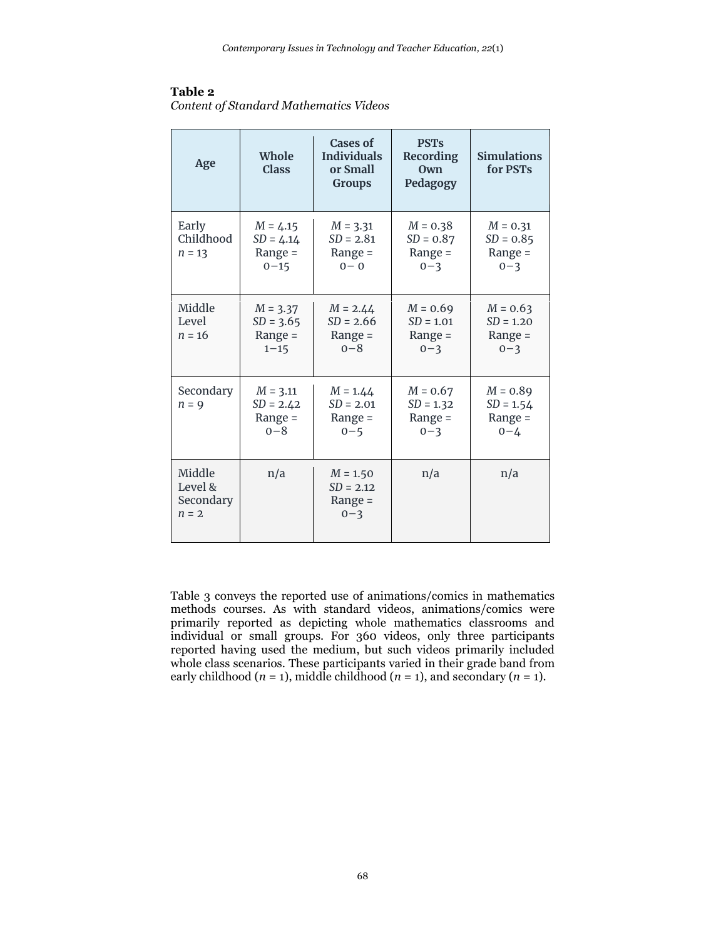## **Table 2**

*Content of Standard Mathematics Videos*

| Age                                       | Whole<br><b>Class</b>                              | Cases of<br><b>Individuals</b><br>or Small<br><b>Groups</b> | <b>PST's</b><br>Recording<br>Own<br>Pedagogy      | <b>Simulations</b><br>for PSTs                    |
|-------------------------------------------|----------------------------------------------------|-------------------------------------------------------------|---------------------------------------------------|---------------------------------------------------|
| Early<br>Childhood<br>$n = 13$            | $M = 4.15$<br>$SD = 4.14$<br>Range $=$<br>$0 - 15$ | $M = 3.31$<br>$SD = 2.81$<br>Range $=$<br>$0 - 0$           | $M = 0.38$<br>$SD = 0.87$<br>Range =<br>$0 - 3$   | $M = 0.31$<br>$SD = 0.85$<br>Range =<br>$0 - 3$   |
| Middle<br>Level<br>$n = 16$               | $M = 3.37$<br>$SD = 3.65$<br>Range $=$<br>$1 - 15$ | $M = 2.44$<br>$SD = 2.66$<br>Range $=$<br>$0 - 8$           | $M = 0.69$<br>$SD = 1.01$<br>Range $=$<br>$0 - 3$ | $M = 0.63$<br>$SD = 1.20$<br>Range $=$<br>$0 - 3$ |
| Secondary<br>$n = 9$                      | $M = 3.11$<br>$SD = 2.42$<br>Range $=$<br>$0 - 8$  | $M = 1.44$<br>$SD = 2.01$<br>Range =<br>$0 - 5$             | $M = 0.67$<br>$SD = 1.32$<br>Range $=$<br>$0 - 3$ | $M = 0.89$<br>$SD = 1.54$<br>Range =<br>$0 - 4$   |
| Middle<br>Level &<br>Secondary<br>$n = 2$ | n/a                                                | $M = 1.50$<br>$SD = 2.12$<br>Range $=$<br>$0 - 3$           | n/a                                               | n/a                                               |

Table 3 conveys the reported use of animations/comics in mathematics methods courses. As with standard videos, animations/comics were primarily reported as depicting whole mathematics classrooms and individual or small groups. For 360 videos, only three participants reported having used the medium, but such videos primarily included whole class scenarios. These participants varied in their grade band from early childhood  $(n = 1)$ , middle childhood  $(n = 1)$ , and secondary  $(n = 1)$ .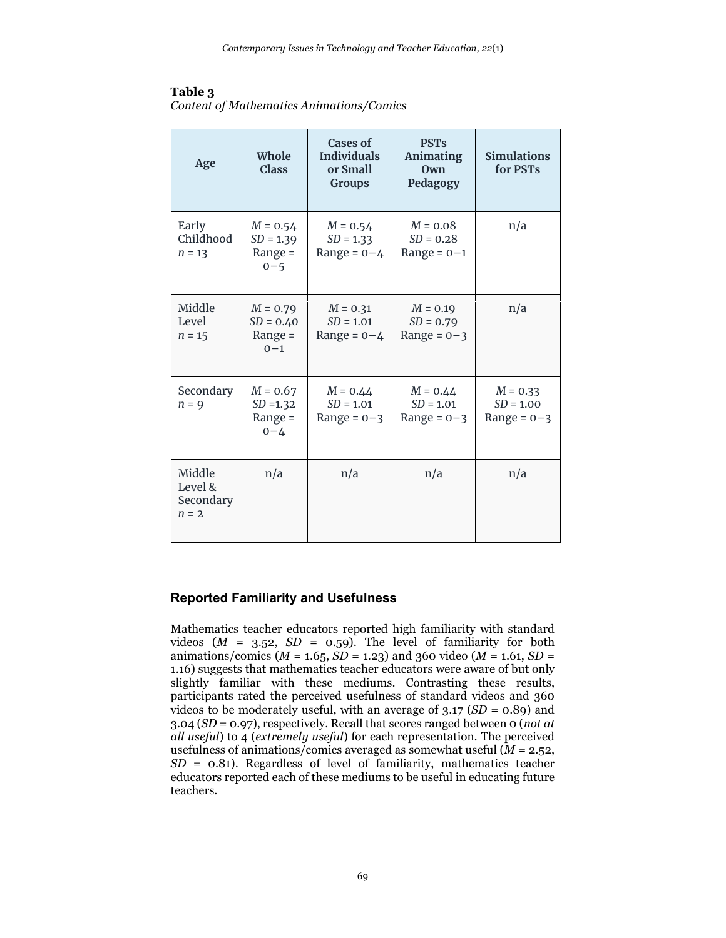## **Table 3**

| Content of Mathematics Animations/Comics |
|------------------------------------------|
|------------------------------------------|

| Age                                       | Whole<br><b>Class</b>                             | Cases of<br><b>Individuals</b><br>or Small<br><b>Groups</b> | <b>PST's</b><br><b>Animating</b><br>Own<br>Pedagogy | <b>Simulations</b><br>for PSTs             |
|-------------------------------------------|---------------------------------------------------|-------------------------------------------------------------|-----------------------------------------------------|--------------------------------------------|
| Early<br>Childhood<br>$n = 13$            | $M = 0.54$<br>$SD = 1.39$<br>Range $=$<br>$0 - 5$ | $M = 0.54$<br>$SD = 1.33$<br>Range = $0 - 4$                | $M = 0.08$<br>$SD = 0.28$<br>Range = $0-1$          | n/a                                        |
| Middle<br>Level<br>$n = 15$               | $M = 0.79$<br>$SD = 0.40$<br>Range $=$<br>$0 - 1$ | $M = 0.31$<br>$SD = 1.01$<br>Range = $0 - 4$                | $M = 0.19$<br>$SD = 0.79$<br>Range = $0-3$          | n/a                                        |
| Secondary<br>$n = 9$                      | $M = 0.67$<br>$SD = 1.32$<br>Range $=$<br>$0 - 4$ | $M = 0.44$<br>$SD = 1.01$<br>Range = $0-3$                  | $M = 0.44$<br>$SD = 1.01$<br>Range = $0-3$          | $M = 0.33$<br>$SD = 1.00$<br>Range = $0-3$ |
| Middle<br>Level &<br>Secondary<br>$n = 2$ | n/a                                               | n/a                                                         | n/a                                                 | n/a                                        |

## **Reported Familiarity and Usefulness**

Mathematics teacher educators reported high familiarity with standard videos  $(M = 3.52, SD = 0.59)$ . The level of familiarity for both animations/comics (*M* = 1.65, *SD* = 1.23) and 360 video (*M* = 1.61, *SD* = 1.16) suggests that mathematics teacher educators were aware of but only slightly familiar with these mediums. Contrasting these results, participants rated the perceived usefulness of standard videos and 360 videos to be moderately useful, with an average of 3.17 (*SD* = 0.89) and 3.04 (*SD* = 0.97), respectively. Recall that scores ranged between 0 (*not at all useful*) to 4 (*extremely useful*) for each representation. The perceived usefulness of animations/comics averaged as somewhat useful (*M* = 2.52, *SD* = 0.81). Regardless of level of familiarity, mathematics teacher educators reported each of these mediums to be useful in educating future teachers.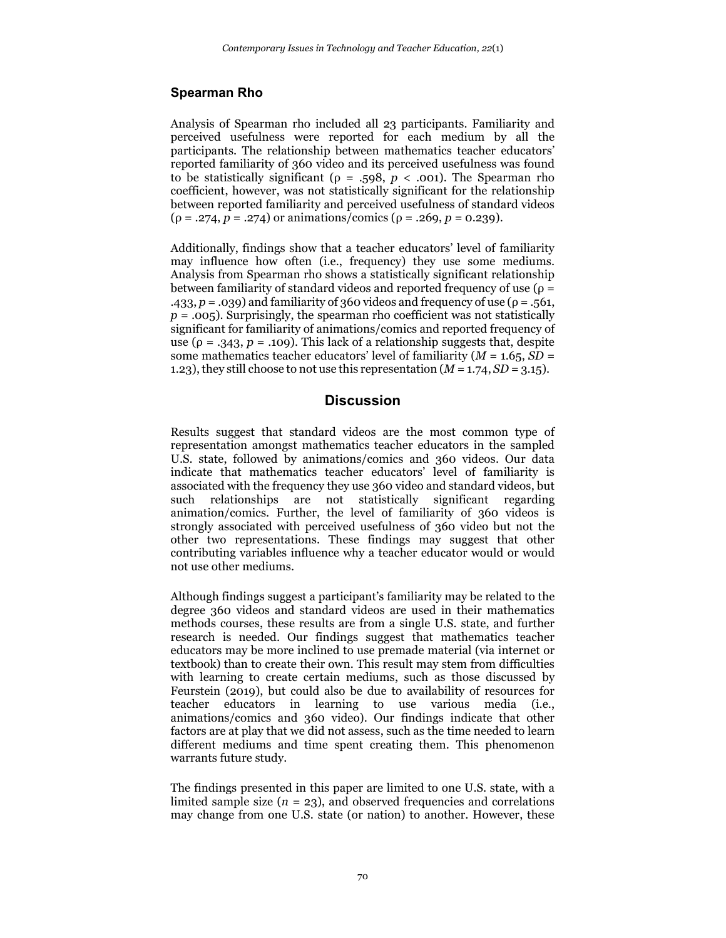## **Spearman Rho**

Analysis of Spearman rho included all 23 participants. Familiarity and perceived usefulness were reported for each medium by all the participants. The relationship between mathematics teacher educators' reported familiarity of 360 video and its perceived usefulness was found to be statistically significant (ρ = .598, *p* < .001). The Spearman rho coefficient, however, was not statistically significant for the relationship between reported familiarity and perceived usefulness of standard videos  $(\rho = .274, p = .274)$  or animations/comics ( $\rho = .269, p = 0.239$ ).

Additionally, findings show that a teacher educators' level of familiarity may influence how often (i.e., frequency) they use some mediums. Analysis from Spearman rho shows a statistically significant relationship between familiarity of standard videos and reported frequency of use ( $\rho =$ .433,  $p = .039$ ) and familiarity of 360 videos and frequency of use ( $p = .561$ , *p* = .005). Surprisingly, the spearman rho coefficient was not statistically significant for familiarity of animations/comics and reported frequency of use ( $\rho = .343$ ,  $p = .109$ ). This lack of a relationship suggests that, despite some mathematics teacher educators' level of familiarity  $(M = 1.65, SD =$ 1.23), they still choose to not use this representation  $(M = 1.74, SD = 3.15)$ .

## **Discussion**

Results suggest that standard videos are the most common type of representation amongst mathematics teacher educators in the sampled U.S. state, followed by animations/comics and 360 videos. Our data indicate that mathematics teacher educators' level of familiarity is associated with the frequency they use 360 video and standard videos, but such relationships are not statistically significant regarding animation/comics. Further, the level of familiarity of 360 videos is strongly associated with perceived usefulness of 360 video but not the other two representations. These findings may suggest that other contributing variables influence why a teacher educator would or would not use other mediums.

Although findings suggest a participant's familiarity may be related to the degree 360 videos and standard videos are used in their mathematics methods courses, these results are from a single U.S. state, and further research is needed. Our findings suggest that mathematics teacher educators may be more inclined to use premade material (via internet or textbook) than to create their own. This result may stem from difficulties with learning to create certain mediums, such as those discussed by Feurstein (2019), but could also be due to availability of resources for teacher educators in learning to use various media (i.e., animations/comics and 360 video). Our findings indicate that other factors are at play that we did not assess, such as the time needed to learn different mediums and time spent creating them. This phenomenon warrants future study.

The findings presented in this paper are limited to one U.S. state, with a limited sample size  $(n = 23)$ , and observed frequencies and correlations may change from one U.S. state (or nation) to another. However, these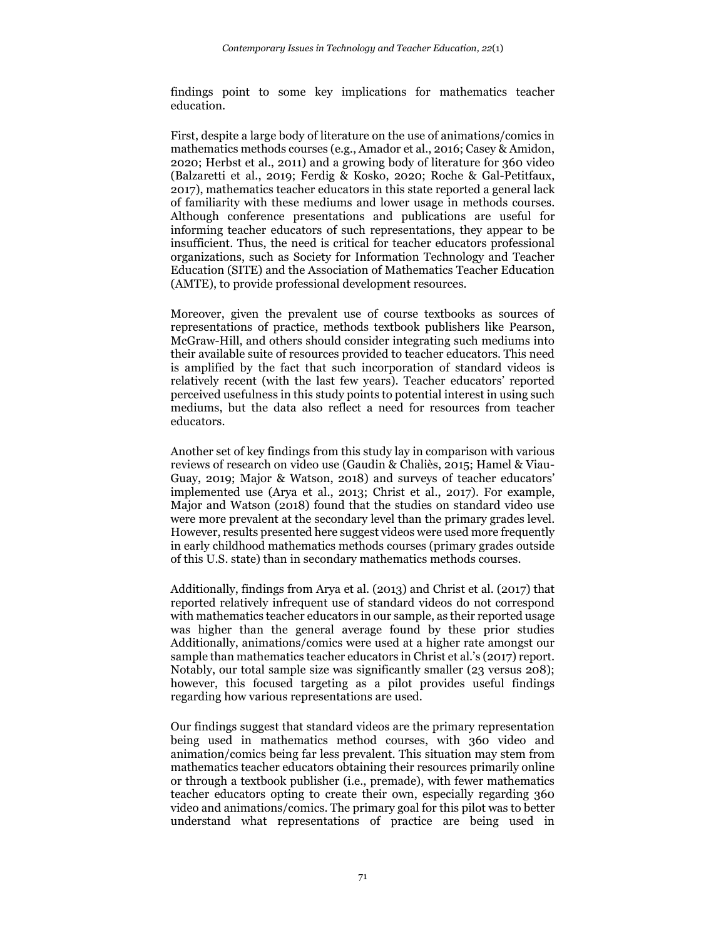findings point to some key implications for mathematics teacher education.

First, despite a large body of literature on the use of animations/comics in mathematics methods courses (e.g., Amador et al., 2016; Casey & Amidon, 2020; Herbst et al., 2011) and a growing body of literature for 360 video (Balzaretti et al., 2019; Ferdig & Kosko, 2020; Roche & Gal-Petitfaux, 2017), mathematics teacher educators in this state reported a general lack of familiarity with these mediums and lower usage in methods courses. Although conference presentations and publications are useful for informing teacher educators of such representations, they appear to be insufficient. Thus, the need is critical for teacher educators professional organizations, such as Society for Information Technology and Teacher Education (SITE) and the Association of Mathematics Teacher Education (AMTE), to provide professional development resources.

Moreover, given the prevalent use of course textbooks as sources of representations of practice, methods textbook publishers like Pearson, McGraw-Hill, and others should consider integrating such mediums into their available suite of resources provided to teacher educators. This need is amplified by the fact that such incorporation of standard videos is relatively recent (with the last few years). Teacher educators' reported perceived usefulness in this study points to potential interest in using such mediums, but the data also reflect a need for resources from teacher educators.

Another set of key findings from this study lay in comparison with various reviews of research on video use (Gaudin & Chaliès, 2015; Hamel & Viau-Guay, 2019; Major & Watson, 2018) and surveys of teacher educators' implemented use (Arya et al., 2013; Christ et al., 2017). For example, Major and Watson (2018) found that the studies on standard video use were more prevalent at the secondary level than the primary grades level. However, results presented here suggest videos were used more frequently in early childhood mathematics methods courses (primary grades outside of this U.S. state) than in secondary mathematics methods courses.

Additionally, findings from Arya et al. (2013) and Christ et al. (2017) that reported relatively infrequent use of standard videos do not correspond with mathematics teacher educators in our sample, as their reported usage was higher than the general average found by these prior studies Additionally, animations/comics were used at a higher rate amongst our sample than mathematics teacher educators in Christ et al.'s (2017) report. Notably, our total sample size was significantly smaller (23 versus 208); however, this focused targeting as a pilot provides useful findings regarding how various representations are used.

Our findings suggest that standard videos are the primary representation being used in mathematics method courses, with 360 video and animation/comics being far less prevalent. This situation may stem from mathematics teacher educators obtaining their resources primarily online or through a textbook publisher (i.e., premade), with fewer mathematics teacher educators opting to create their own, especially regarding 360 video and animations/comics. The primary goal for this pilot was to better understand what representations of practice are being used in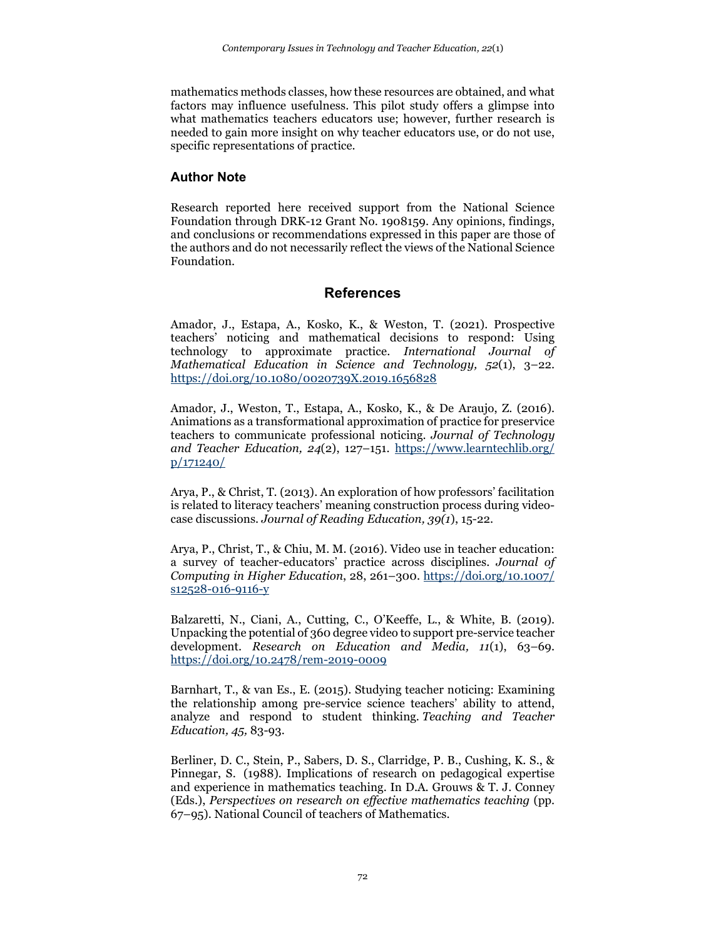mathematics methods classes, how these resources are obtained, and what factors may influence usefulness. This pilot study offers a glimpse into what mathematics teachers educators use; however, further research is needed to gain more insight on why teacher educators use, or do not use, specific representations of practice.

## **Author Note**

Research reported here received support from the National Science Foundation through DRK-12 Grant No. 1908159. Any opinions, findings, and conclusions or recommendations expressed in this paper are those of the authors and do not necessarily reflect the views of the National Science Foundation.

## **References**

Amador, J., Estapa, A., Kosko, K., & Weston, T. (2021). Prospective teachers' noticing and mathematical decisions to respond: Using technology to approximate practice. *International Journal of Mathematical Education in Science and Technology, 52*(1), 3–22. <https://doi.org/10.1080/0020739X.2019.1656828>

Amador, J., Weston, T., Estapa, A., Kosko, K., & De Araujo, Z. (2016). Animations as a transformational approximation of practice for preservice teachers to communicate professional noticing. *Journal of Technology and Teacher Education, 24*(2), 127–151. [https://www.learntechlib.org/](https://www.learntechlib.org/%20p/171240/) [p/171240/](https://www.learntechlib.org/%20p/171240/)

Arya, P., & Christ, T. (2013). An exploration of how professors' facilitation is related to literacy teachers' meaning construction process during videocase discussions. *Journal of Reading Education, 39(1*), 15-22.

Arya, P., Christ, T., & Chiu, M. M. (2016). Video use in teacher education: a survey of teacher-educators' practice across disciplines. *Journal of Computing in Higher Education*, 28, 261–300. [https://doi.org/10.1007/](https://doi.org/10.1007/%20s12528-016-9116-y) [s12528-016-9116-y](https://doi.org/10.1007/%20s12528-016-9116-y)

Balzaretti, N., Ciani, A., Cutting, C., O'Keeffe, L., & White, B. (2019). Unpacking the potential of 360 degree video to support pre-service teacher development. *Research on Education and Media, 11*(1), 63–69. <https://doi.org/10.2478/rem-2019-0009>

Barnhart, T., & van Es., E. (2015). Studying teacher noticing: Examining the relationship among pre-service science teachers' ability to attend, analyze and respond to student thinking. *Teaching and Teacher Education, 45,* 83-93.

Berliner, D. C., Stein, P., Sabers, D. S., Clarridge, P. B., Cushing, K. S., & Pinnegar, S. (1988). Implications of research on pedagogical expertise and experience in mathematics teaching. In D.A. Grouws & T. J. Conney (Eds.), *Perspectives on research on effective mathematics teaching* (pp. 67–95). National Council of teachers of Mathematics.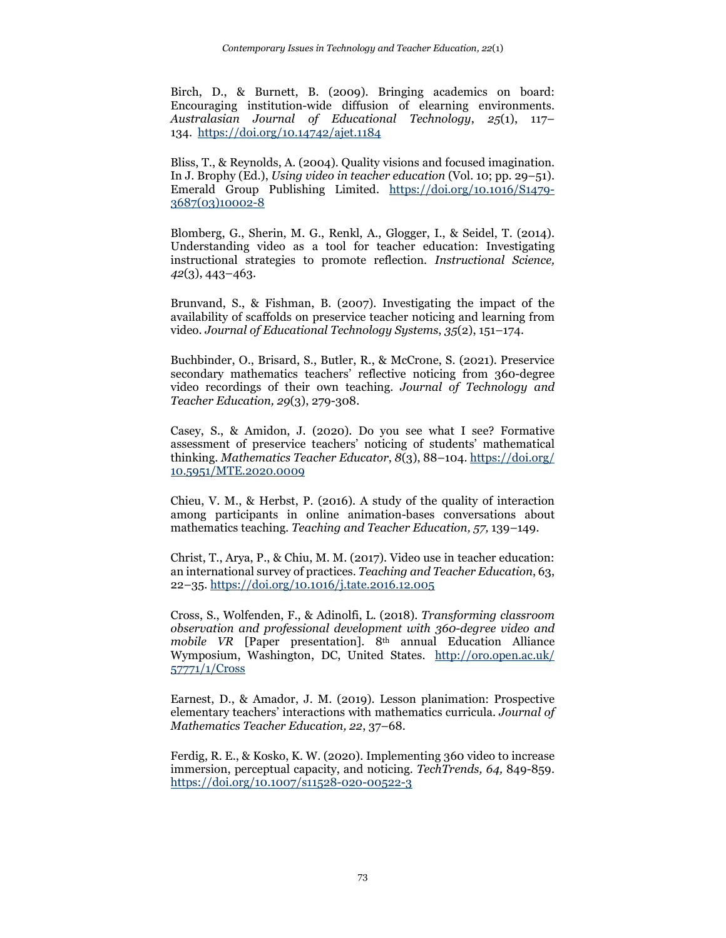Birch, D., & Burnett, B. (2009). Bringing academics on board: Encouraging institution-wide diffusion of elearning environments. *Australasian Journal of Educational Technology*, *25*(1), 117– 134. <https://doi.org/10.14742/ajet.1184>

Bliss, T., & Reynolds, A. (2004). Quality visions and focused imagination. In J. Brophy (Ed.), *Using video in teacher education* (Vol. 10; pp. 29–51). Emerald Group Publishing Limited. [https://doi.org/10.1016/S1479-](https://doi.org/10.1016/S1479-3687(03)10002-8) [3687\(03\)10002-8](https://doi.org/10.1016/S1479-3687(03)10002-8) 

Blomberg, G., Sherin, M. G., Renkl, A., Glogger, I., & Seidel, T. (2014). Understanding video as a tool for teacher education: Investigating instructional strategies to promote reflection. *Instructional Science, 42*(3), 443–463.

Brunvand, S., & Fishman, B. (2007). Investigating the impact of the availability of scaffolds on preservice teacher noticing and learning from video. *Journal of Educational Technology Systems*, *35*(2), 151–174.

Buchbinder, O., Brisard, S., Butler, R., & McCrone, S. (2021). Preservice secondary mathematics teachers' reflective noticing from 360-degree video recordings of their own teaching. *Journal of Technology and Teacher Education, 29*(3), 279-308.

Casey, S., & Amidon, J. (2020). Do you see what I see? Formative assessment of preservice teachers' noticing of students' mathematical thinking. *Mathematics Teacher Educator*, *8*(3), 88–104[. https://doi.org/](https://doi.org/%2010.5951/MTE.2020.0009) [10.5951/MTE.2020.0009](https://doi.org/%2010.5951/MTE.2020.0009)

Chieu, V. M., & Herbst, P. (2016). A study of the quality of interaction among participants in online animation-bases conversations about mathematics teaching*. Teaching and Teacher Education, 57,* 139–149.

Christ, T., Arya, P., & Chiu, M. M. (2017). Video use in teacher education: an international survey of practices. *Teaching and Teacher Education*, 63, 22–35.<https://doi.org/10.1016/j.tate.2016.12.005>

Cross, S., Wolfenden, F., & Adinolfi, L. (2018). *Transforming classroom observation and professional development with 360-degree video and mobile VR* [Paper presentation]. 8<sup>th</sup> annual Education Alliance Wymposium, Washington, DC, United States. [http://oro.open.ac.uk/](http://oro.open.ac.uk/%2057771/1/Cross) [57771/1/Cross](http://oro.open.ac.uk/%2057771/1/Cross)

Earnest, D., & Amador, J. M. (2019). Lesson planimation: Prospective elementary teachers' interactions with mathematics curricula. *Journal of Mathematics Teacher Education, 22*, 37–68.

Ferdig, R. E., & Kosko, K. W. (2020). Implementing 360 video to increase immersion, perceptual capacity, and noticing. *TechTrends, 64,* 849-859. <https://doi.org/10.1007/s11528-020-00522-3>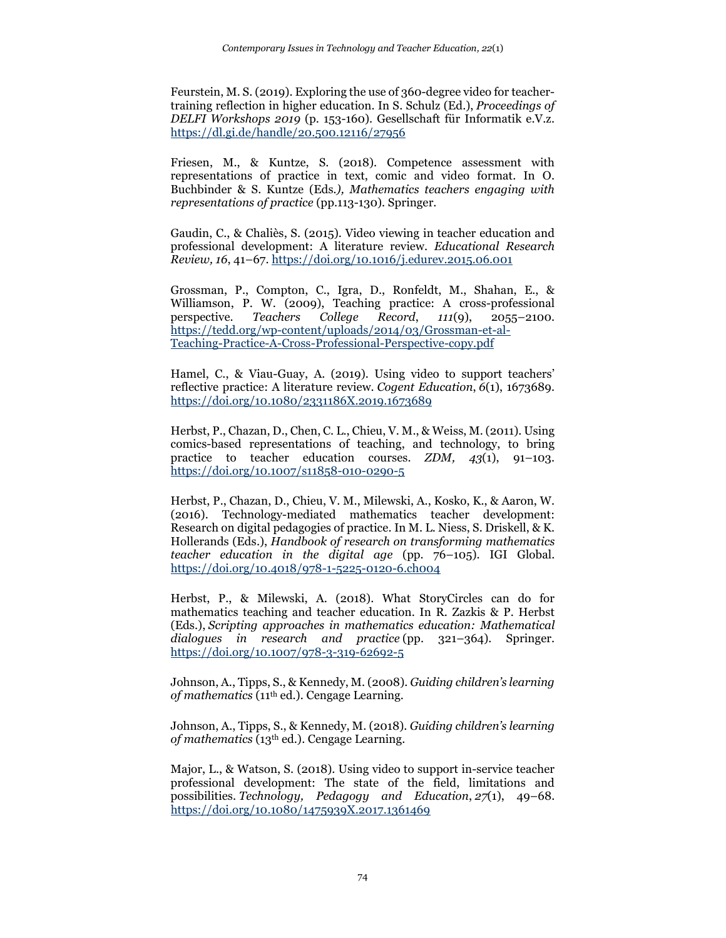Feurstein, M. S. (2019). Exploring the use of 360-degree video for teachertraining reflection in higher education. In S. Schulz (Ed.), *Proceedings of DELFI Workshops 2019* (p. 153-160). Gesellschaft für Informatik e.V.z. <https://dl.gi.de/handle/20.500.12116/27956>

Friesen, M., & Kuntze, S. (2018). Competence assessment with representations of practice in text, comic and video format. In O. Buchbinder & S. Kuntze (Eds*.), Mathematics teachers engaging with representations of practice* (pp.113-130). Springer.

Gaudin, C., & Chaliès, S. (2015). Video viewing in teacher education and professional development: A literature review. *Educational Research Review, 16*, 41–67.<https://doi.org/10.1016/j.edurev.2015.06.001>

Grossman, P., Compton, C., Igra, D., Ronfeldt, M., Shahan, E., & Williamson, P. W. (2009), Teaching practice: A cross-professional perspective. *Teachers College Record*, *111*(9), 2055–2100. [https://tedd.org/wp-content/uploads/2014/03/Grossman-et-al-](https://tedd.org/wp-content/uploads/2014/03/Grossman-et-al-Teaching-Practice-A-Cross-Professional-Perspective-copy.pdf)[Teaching-Practice-A-Cross-Professional-Perspective-copy.pdf](https://tedd.org/wp-content/uploads/2014/03/Grossman-et-al-Teaching-Practice-A-Cross-Professional-Perspective-copy.pdf)

Hamel, C., & Viau-Guay, A. (2019). Using video to support teachers' reflective practice: A literature review. *Cogent Education*, *6*(1), 1673689. <https://doi.org/10.1080/2331186X.2019.1673689>

Herbst, P., Chazan, D., Chen, C. L., Chieu, V. M., & Weiss, M. (2011). Using comics-based representations of teaching, and technology, to bring practice to teacher education courses. *ZDM, 43*(1), 91–103. <https://doi.org/10.1007/s11858-010-0290-5>

Herbst, P., Chazan, D., Chieu, V. M., Milewski, A., Kosko, K., & Aaron, W. (2016). Technology-mediated mathematics teacher development: Research on digital pedagogies of practice. In M. L. Niess, S. Driskell, & K. Hollerands (Eds.), *Handbook of research on transforming mathematics teacher education in the digital age* (pp. 76–105). IGI Global. <https://doi.org/10.4018/978-1-5225-0120-6.ch004>

Herbst, P., & Milewski, A. (2018). What StoryCircles can do for mathematics teaching and teacher education. In R. Zazkis & P. Herbst (Eds.), *Scripting approaches in mathematics education: Mathematical dialogues in research and practice* (pp. 321–364). Springer. <https://doi.org/10.1007/978-3-319-62692-5>

Johnson, A., Tipps, S., & Kennedy, M. (2008). *Guiding children's learning of mathematics* (11th ed.). Cengage Learning.

Johnson, A., Tipps, S., & Kennedy, M. (2018). *Guiding children's learning of mathematics* (13th ed.). Cengage Learning.

Major, L., & Watson, S. (2018). Using video to support in-service teacher professional development: The state of the field, limitations and possibilities. *Technology, Pedagogy and Education*, *27*(1), 49–68. <https://doi.org/10.1080/1475939X.2017.1361469>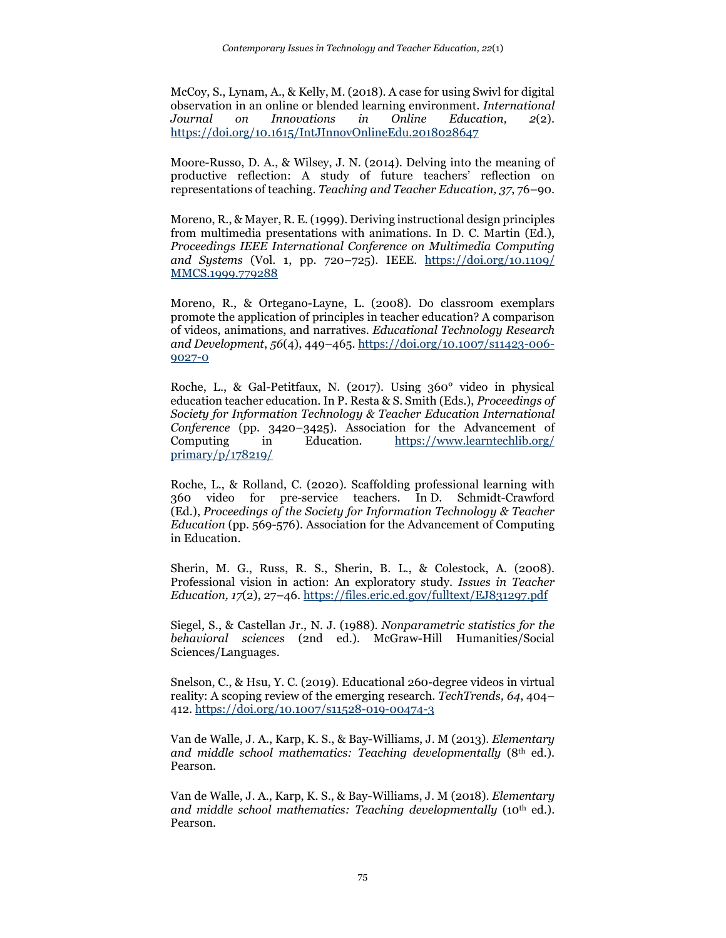McCoy, S., Lynam, A., & Kelly, M. (2018). A case for using Swivl for digital observation in an online or blended learning environment. *International Journal on Innovations in Online Education, 2*(2). <https://doi.org/10.1615/IntJInnovOnlineEdu.2018028647>

Moore-Russo, D. A., & Wilsey, J. N. (2014). Delving into the meaning of productive reflection: A study of future teachers' reflection on representations of teaching. *Teaching and Teacher Education, 37*, 76–90.

Moreno, R., & Mayer, R. E. (1999). Deriving instructional design principles from multimedia presentations with animations. In D. C. Martin (Ed.), *Proceedings IEEE International Conference on Multimedia Computing and Systems* (Vol. 1, pp. 720–725). IEEE. [https://doi.org/10.1109/](https://doi.org/10.1109/%20MMCS.1999.779288) [MMCS.1999.779288](https://doi.org/10.1109/%20MMCS.1999.779288)

Moreno, R., & Ortegano-Layne, L. (2008). Do classroom exemplars promote the application of principles in teacher education? A comparison of videos, animations, and narratives. *Educational Technology Research and Development*, *56*(4), 449–465. [https://doi.org/10.1007/s11423-006-](https://doi.org/10.1007/s11423-006-9027-0) [9027-0](https://doi.org/10.1007/s11423-006-9027-0)

Roche, L., & Gal-Petitfaux, N. (2017). Using 360° video in physical education teacher education. In P. Resta & S. Smith (Eds.), *Proceedings of Society for Information Technology & Teacher Education International Conference* (pp. 3420–3425). Association for the Advancement of Computing in Education. [https://www.learntechlib.org/](https://www.learntechlib.org/%20primary/p/178219/) [primary/p/178219/](https://www.learntechlib.org/%20primary/p/178219/)

Roche, L., & Rolland, C. (2020). Scaffolding professional learning with 360 video for pre-service teachers. In D. Schmidt-Crawford (Ed.), *Proceedings of the Society for Information Technology & Teacher Education* (pp. 569-576). Association for the Advancement of Computing in Education.

Sherin, M. G., Russ, R. S., Sherin, B. L., & Colestock, A. (2008). Professional vision in action: An exploratory study. *Issues in Teacher Education, 17*(2), 27–46.<https://files.eric.ed.gov/fulltext/EJ831297.pdf>

Siegel, S., & Castellan Jr., N. J. (1988). *Nonparametric statistics for the behavioral sciences* (2nd ed.). McGraw-Hill Humanities/Social Sciences/Languages.

Snelson, C., & Hsu, Y. C. (2019). Educational 260-degree videos in virtual reality: A scoping review of the emerging research. *TechTrends, 64*, 404– 412[. https://doi.org/10.1007/s11528-019-00474-3](https://doi.org/10.1007/s11528-019-00474-3)

Van de Walle, J. A., Karp, K. S., & Bay-Williams, J. M (2013). *Elementary*  and middle school mathematics: Teaching developmentally (8<sup>th</sup> ed.). Pearson.

Van de Walle, J. A., Karp, K. S., & Bay-Williams, J. M (2018). *Elementary and middle school mathematics: Teaching developmentally* (10th ed.). Pearson.